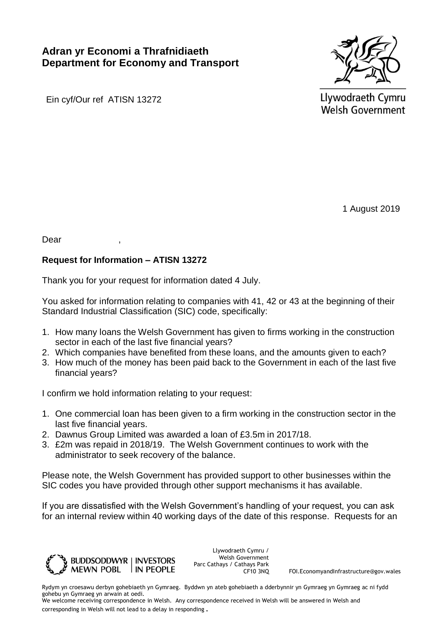## **Adran yr Economi a Thrafnidiaeth Department for Economy and Transport**



Ein cyf/Our ref ATISN 13272

Llywodraeth Cymru **Welsh Government** 

1 August 2019

Dear

## **Request for Information – ATISN 13272**

Thank you for your request for information dated 4 July.

You asked for information relating to companies with 41, 42 or 43 at the beginning of their Standard Industrial Classification (SIC) code, specifically:

- 1. How many loans the Welsh Government has given to firms working in the construction sector in each of the last five financial years?
- 2. Which companies have benefited from these loans, and the amounts given to each?
- 3. How much of the money has been paid back to the Government in each of the last five financial years?

I confirm we hold information relating to your request:

- 1. One commercial loan has been given to a firm working in the construction sector in the last five financial years.
- 2. Dawnus Group Limited was awarded a loan of £3.5m in 2017/18.
- 3. £2m was repaid in 2018/19. The Welsh Government continues to work with the administrator to seek recovery of the balance.

Please note, the Welsh Government has provided support to other businesses within the SIC codes you have provided through other support mechanisms it has available.

If you are dissatisfied with the Welsh Government's handling of your request, you can ask for an internal review within 40 working days of the date of this response. Requests for an



Llywodraeth Cymru / Welsh Government Parc Cathays / Cathays Park<br>CF10 3NQ

FOI.EconomyandInfrastructure@gov.wales

Rydym yn croesawu derbyn gohebiaeth yn Gymraeg. Byddwn yn ateb gohebiaeth a dderbynnir yn Gymraeg yn Gymraeg ac ni fydd gohebu yn Gymraeg yn arwain at oedi.

We welcome receiving correspondence in Welsh. Any correspondence received in Welsh will be answered in Welsh and corresponding in Welsh will not lead to a delay in responding.